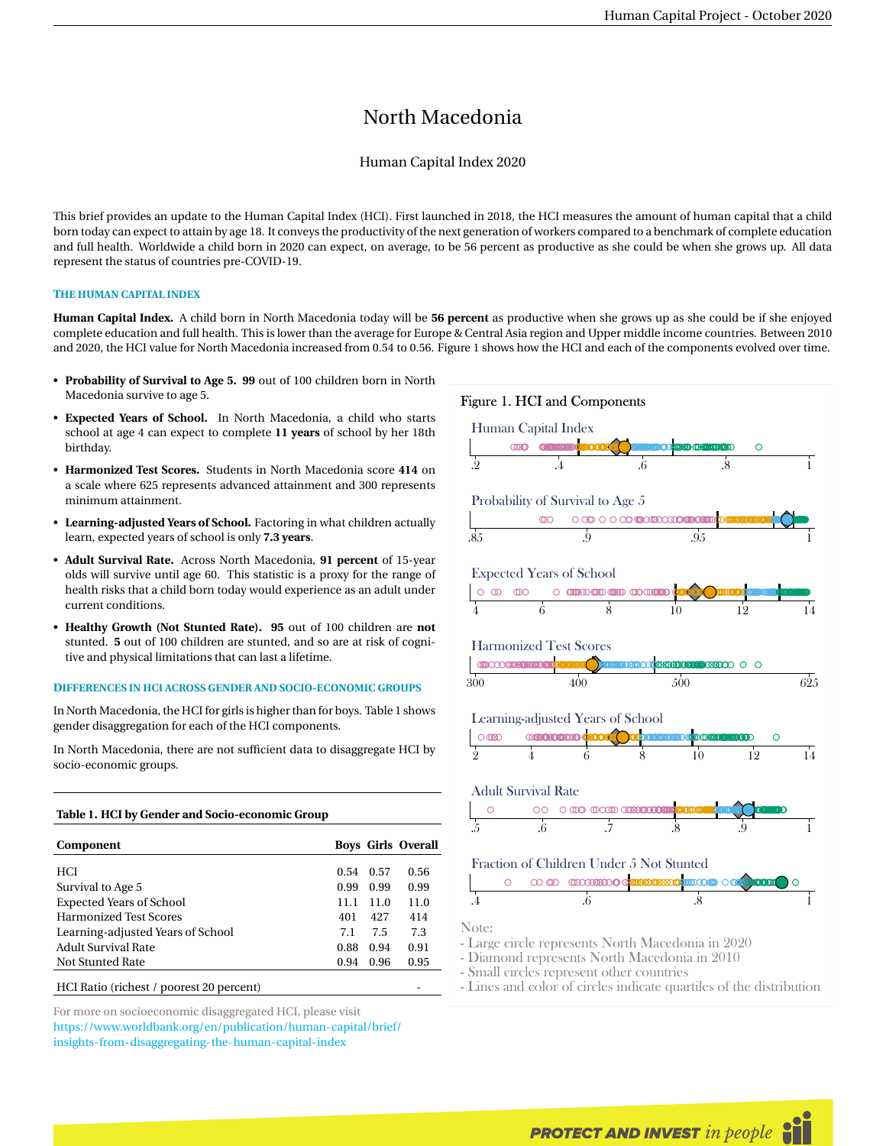# North Macedonia

## Human Capital Index 2020

This brief provides an update to the Human Capital Index (HCI). First launched in 2018, the HCI measures the amount of human capital that a child born today can expect to attain by age 18. It conveys the productivity of the next generation of workers compared to a benchmark of complete education and full health. Worldwide a child born in 2020 can expect, on average, to be 56 percent as productive as she could be when she grows up. All data represent the status of countries pre-COVID-19.

## **THE HUMAN CAPITAL INDEX**

**Human Capital Index.** A child born in North Macedonia today will be **56 percent** as productive when she grows up as she could be if she enjoyed complete education and full health. This is lower than the average for Europe & Central Asia region and Upper middle income countries. Between 2010 and 2020, the HCI value for North Macedonia increased from 0.54 to 0.56. Figure 1 shows how the HCI and each of the components evolved over time.

- **Probability of Survival to Age 5. 99** out of 100 children born in North Macedonia survive to age 5.
- **Expected Years of School.** In North Macedonia, a child who starts school at age 4 can expect to complete **11 years** of school by her 18th birthday.
- **Harmonized Test Scores.** Students in North Macedonia score **414** on a scale where 625 represents advanced attainment and 300 represents minimum attainment.
- **Learning-adjusted Years of School.** Factoring in what children actually learn, expected years of school is only **7.3 years**.
- **Adult Survival Rate.** Across North Macedonia, **91 percent** of 15-year olds will survive until age 60. This statistic is a proxy for the range of health risks that a child born today would experience as an adult under current conditions.
- **Healthy Growth (Not Stunted Rate). 95** out of 100 children are **not** stunted. **5** out of 100 children are stunted, and so are at risk of cognitive and physical limitations that can last a lifetime.

#### **DIFFERENCES IN HCI ACROSS GENDER AND SOCIO-ECONOMIC GROUPS**

In North Macedonia, the HCI for girls is higher than for boys. Table 1 shows gender disaggregation for each of the HCI components.

In North Macedonia, there are not sufficient data to disaggregate HCI by socio-economic groups.

#### **Table 1. HCI by Gender and Socio-economic Group**

| Component                         |      |      | <b>Boys Girls Overall</b> |
|-----------------------------------|------|------|---------------------------|
| <b>HCI</b>                        | 0.54 | 0.57 | 0.56                      |
| Survival to Age 5                 | 0.99 | 0.99 | 0.99                      |
| <b>Expected Years of School</b>   | 11.1 | 11.0 | 11.0                      |
| <b>Harmonized Test Scores</b>     | 401  | 427  | 414                       |
| Learning-adjusted Years of School | 7.1  | 7.5  | 7.3                       |
| <b>Adult Survival Rate</b>        | 0.88 | 0.94 | 0.91                      |
| <b>Not Stunted Rate</b>           | 0.94 | 0.96 | 0.95                      |
|                                   |      |      |                           |

HCI Ratio (richest / poorest 20 percent)

For more on socioeconomic disaggregated HCI, please visit [https://www.worldbank.org/en/publication/human-capital/brief/](https://www.worldbank.org/en/publication/human-capital/brief/insights-from-disaggregating-the-human-capital-index) [insights-from-disaggregating-the-human-capital-index](https://www.worldbank.org/en/publication/human-capital/brief/insights-from-disaggregating-the-human-capital-index)

## Figure 1. HCI and Components



- Lines and color of circles indicate quartiles of the distribution